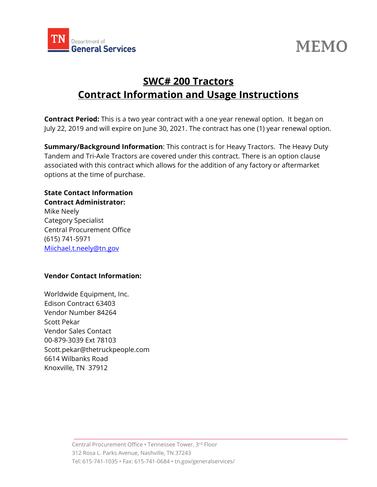



## **SWC# 200 Tractors Contract Information and Usage Instructions**

**Contract Period:** This is a two year contract with a one year renewal option. It began on July 22, 2019 and will expire on June 30, 2021. The contract has one (1) year renewal option.

**Summary/Background Information**: This contract is for Heavy Tractors. The Heavy Duty Tandem and Tri-Axle Tractors are covered under this contract. There is an option clause associated with this contract which allows for the addition of any factory or aftermarket options at the time of purchase.

## **State Contact Information**

**Contract Administrator:** Mike Neely Category Specialist Central Procurement Office (615) 741-5971 [Miichael.t.neely@tn.gov](mailto:Miichael.t.neely@tn.gov)

## **Vendor Contact Information:**

Worldwide Equipment, Inc. Edison Contract 63403 Vendor Number 84264 Scott Pekar Vendor Sales Contact 00-879-3039 Ext 78103 Scott.pekar@thetruckpeople.com 6614 Wilbanks Road Knoxville, TN 37912